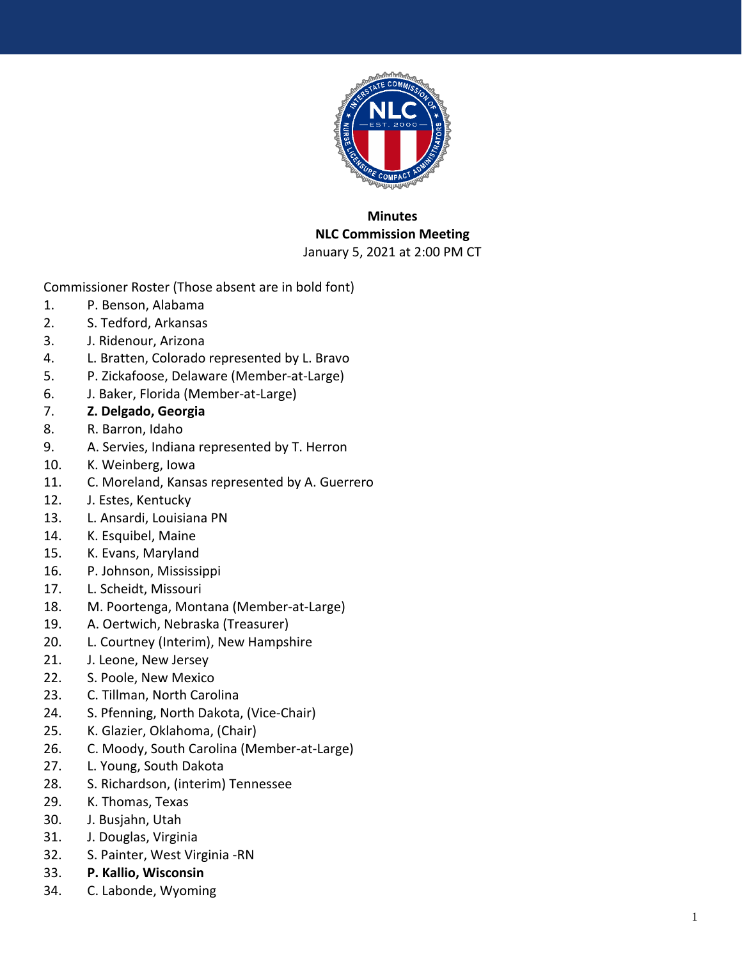

## **Minutes NLC Commission Meeting**  January 5, 2021 at 2:00 PM CT

Commissioner Roster (Those absent are in bold font)

- 1. P. Benson, Alabama
- 2. S. Tedford, Arkansas
- 3. J. Ridenour, Arizona
- 4. L. Bratten, Colorado represented by L. Bravo
- 5. P. Zickafoose, Delaware (Member-at-Large)
- 6. J. Baker, Florida (Member-at-Large)
- 7. **Z. Delgado, Georgia**
- 8. R. Barron, Idaho
- 9. A. Servies, Indiana represented by T. Herron
- 10. K. Weinberg, Iowa
- 11. C. Moreland, Kansas represented by A. Guerrero
- 12. J. Estes, Kentucky
- 13. L. Ansardi, Louisiana PN
- 14. K. Esquibel, Maine
- 15. K. Evans, Maryland
- 16. P. Johnson, Mississippi
- 17. L. Scheidt, Missouri
- 18. M. Poortenga, Montana (Member-at-Large)
- 19. A. Oertwich, Nebraska (Treasurer)
- 20. L. Courtney (Interim), New Hampshire
- 21. J. Leone, New Jersey
- 22. S. Poole, New Mexico
- 23. C. Tillman, North Carolina
- 24. S. Pfenning, North Dakota, (Vice-Chair)
- 25. K. Glazier, Oklahoma, (Chair)
- 26. C. Moody, South Carolina (Member-at-Large)
- 27. L. Young, South Dakota
- 28. S. Richardson, (interim) Tennessee
- 29. K. Thomas, Texas
- 30. J. Busjahn, Utah
- 31. J. Douglas, Virginia
- 32. S. Painter, West Virginia -RN
- 33. **P. Kallio, Wisconsin**
- 34. C. Labonde, Wyoming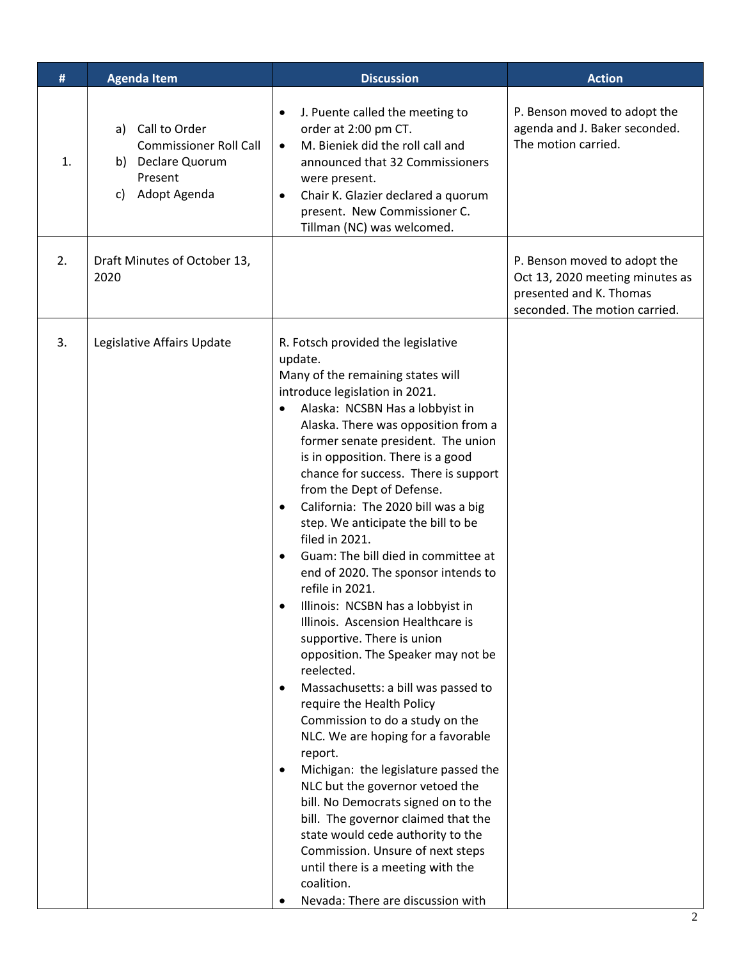| #  | <b>Agenda Item</b>                                                                                      | <b>Discussion</b>                                                                                                                                                                                                                                                                                                                                                                                                                                                                                                                                                                                                                                                                                                                                                                                                                                                                                                                                                                                                                                                                                                                                                                                                                                                          | <b>Action</b>                                                                                                               |
|----|---------------------------------------------------------------------------------------------------------|----------------------------------------------------------------------------------------------------------------------------------------------------------------------------------------------------------------------------------------------------------------------------------------------------------------------------------------------------------------------------------------------------------------------------------------------------------------------------------------------------------------------------------------------------------------------------------------------------------------------------------------------------------------------------------------------------------------------------------------------------------------------------------------------------------------------------------------------------------------------------------------------------------------------------------------------------------------------------------------------------------------------------------------------------------------------------------------------------------------------------------------------------------------------------------------------------------------------------------------------------------------------------|-----------------------------------------------------------------------------------------------------------------------------|
| 1. | a) Call to Order<br><b>Commissioner Roll Call</b><br>b) Declare Quorum<br>Present<br>Adopt Agenda<br>C) | J. Puente called the meeting to<br>$\bullet$<br>order at 2:00 pm CT.<br>M. Bieniek did the roll call and<br>$\bullet$<br>announced that 32 Commissioners<br>were present.<br>Chair K. Glazier declared a quorum<br>$\bullet$<br>present. New Commissioner C.<br>Tillman (NC) was welcomed.                                                                                                                                                                                                                                                                                                                                                                                                                                                                                                                                                                                                                                                                                                                                                                                                                                                                                                                                                                                 | P. Benson moved to adopt the<br>agenda and J. Baker seconded.<br>The motion carried.                                        |
| 2. | Draft Minutes of October 13,<br>2020                                                                    |                                                                                                                                                                                                                                                                                                                                                                                                                                                                                                                                                                                                                                                                                                                                                                                                                                                                                                                                                                                                                                                                                                                                                                                                                                                                            | P. Benson moved to adopt the<br>Oct 13, 2020 meeting minutes as<br>presented and K. Thomas<br>seconded. The motion carried. |
| 3. | Legislative Affairs Update                                                                              | R. Fotsch provided the legislative<br>update.<br>Many of the remaining states will<br>introduce legislation in 2021.<br>Alaska: NCSBN Has a lobbyist in<br>$\bullet$<br>Alaska. There was opposition from a<br>former senate president. The union<br>is in opposition. There is a good<br>chance for success. There is support<br>from the Dept of Defense.<br>California: The 2020 bill was a big<br>$\bullet$<br>step. We anticipate the bill to be<br>filed in 2021.<br>Guam: The bill died in committee at<br>$\bullet$<br>end of 2020. The sponsor intends to<br>refile in 2021.<br>Illinois: NCSBN has a lobbyist in<br>Illinois. Ascension Healthcare is<br>supportive. There is union<br>opposition. The Speaker may not be<br>reelected.<br>Massachusetts: a bill was passed to<br>$\bullet$<br>require the Health Policy<br>Commission to do a study on the<br>NLC. We are hoping for a favorable<br>report.<br>Michigan: the legislature passed the<br>$\bullet$<br>NLC but the governor vetoed the<br>bill. No Democrats signed on to the<br>bill. The governor claimed that the<br>state would cede authority to the<br>Commission. Unsure of next steps<br>until there is a meeting with the<br>coalition.<br>Nevada: There are discussion with<br>$\bullet$ |                                                                                                                             |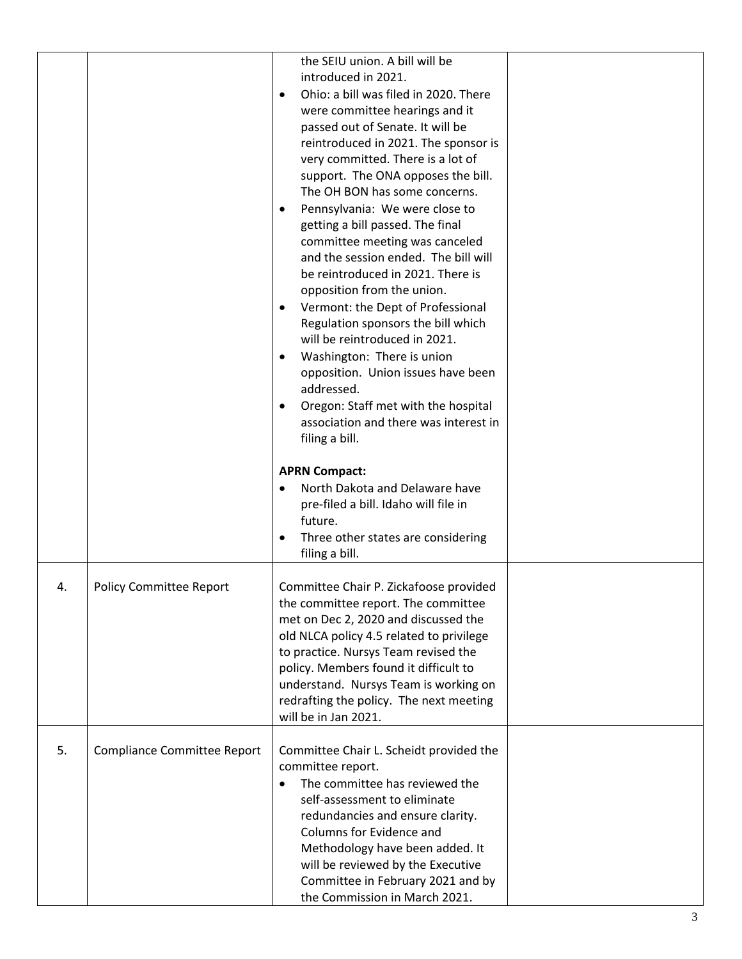|    |                             | the SEIU union. A bill will be<br>introduced in 2021.<br>Ohio: a bill was filed in 2020. There<br>$\bullet$<br>were committee hearings and it<br>passed out of Senate. It will be<br>reintroduced in 2021. The sponsor is<br>very committed. There is a lot of<br>support. The ONA opposes the bill.<br>The OH BON has some concerns.<br>Pennsylvania: We were close to<br>$\bullet$<br>getting a bill passed. The final<br>committee meeting was canceled<br>and the session ended. The bill will<br>be reintroduced in 2021. There is<br>opposition from the union.<br>Vermont: the Dept of Professional<br>٠<br>Regulation sponsors the bill which<br>will be reintroduced in 2021.<br>Washington: There is union<br>$\bullet$<br>opposition. Union issues have been<br>addressed.<br>Oregon: Staff met with the hospital<br>$\bullet$<br>association and there was interest in<br>filing a bill.<br><b>APRN Compact:</b><br>North Dakota and Delaware have<br>pre-filed a bill. Idaho will file in<br>future.<br>Three other states are considering<br>$\bullet$<br>filing a bill. |  |
|----|-----------------------------|----------------------------------------------------------------------------------------------------------------------------------------------------------------------------------------------------------------------------------------------------------------------------------------------------------------------------------------------------------------------------------------------------------------------------------------------------------------------------------------------------------------------------------------------------------------------------------------------------------------------------------------------------------------------------------------------------------------------------------------------------------------------------------------------------------------------------------------------------------------------------------------------------------------------------------------------------------------------------------------------------------------------------------------------------------------------------------------|--|
| 4. | Policy Committee Report     | Committee Chair P. Zickafoose provided<br>the committee report. The committee<br>met on Dec 2, 2020 and discussed the<br>old NLCA policy 4.5 related to privilege<br>to practice. Nursys Team revised the<br>policy. Members found it difficult to<br>understand. Nursys Team is working on<br>redrafting the policy. The next meeting<br>will be in Jan 2021.                                                                                                                                                                                                                                                                                                                                                                                                                                                                                                                                                                                                                                                                                                                         |  |
| 5. | Compliance Committee Report | Committee Chair L. Scheidt provided the<br>committee report.<br>The committee has reviewed the<br>$\bullet$<br>self-assessment to eliminate<br>redundancies and ensure clarity.<br>Columns for Evidence and<br>Methodology have been added. It<br>will be reviewed by the Executive<br>Committee in February 2021 and by<br>the Commission in March 2021.                                                                                                                                                                                                                                                                                                                                                                                                                                                                                                                                                                                                                                                                                                                              |  |